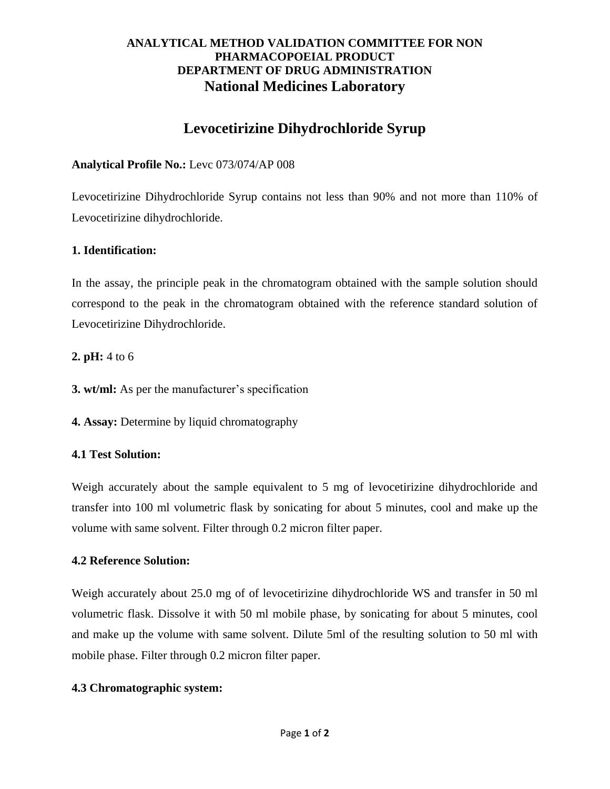## **ANALYTICAL METHOD VALIDATION COMMITTEE FOR NON PHARMACOPOEIAL PRODUCT DEPARTMENT OF DRUG ADMINISTRATION National Medicines Laboratory**

# **Levocetirizine Dihydrochloride Syrup**

## **Analytical Profile No.:** Levc 073/074/AP 008

Levocetirizine Dihydrochloride Syrup contains not less than 90% and not more than 110% of Levocetirizine dihydrochloride.

## **1. Identification:**

In the assay, the principle peak in the chromatogram obtained with the sample solution should correspond to the peak in the chromatogram obtained with the reference standard solution of Levocetirizine Dihydrochloride.

## **2. pH:** 4 to 6

**3. wt/ml:** As per the manufacturer's specification

**4. Assay:** Determine by liquid chromatography

# **4.1 Test Solution:**

Weigh accurately about the sample equivalent to 5 mg of levocetirizine dihydrochloride and transfer into 100 ml volumetric flask by sonicating for about 5 minutes, cool and make up the volume with same solvent. Filter through 0.2 micron filter paper.

#### **4.2 Reference Solution:**

Weigh accurately about 25.0 mg of of levocetirizine dihydrochloride WS and transfer in 50 ml volumetric flask. Dissolve it with 50 ml mobile phase, by sonicating for about 5 minutes, cool and make up the volume with same solvent. Dilute 5ml of the resulting solution to 50 ml with mobile phase. Filter through 0.2 micron filter paper.

#### **4.3 Chromatographic system:**